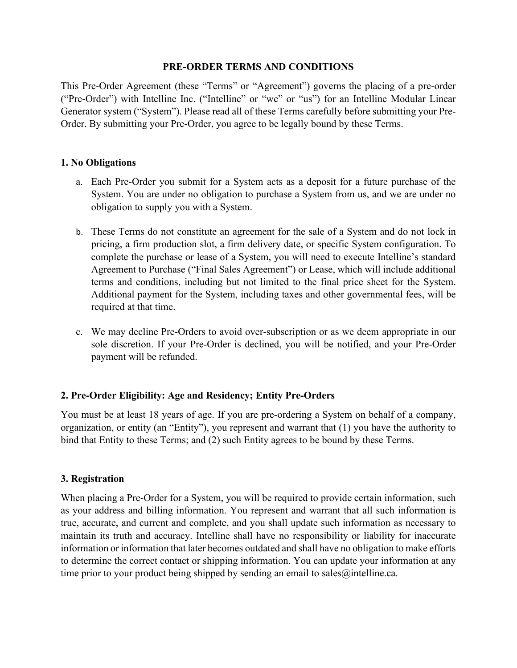#### **PRE-ORDER TERMS AND CONDITIONS**

This Pre-Order Agreement (these "Terms" or "Agreement") governs the placing of a pre-order ("Pre-Order") with Intelline Inc. ("Intelline" or "we" or "us") for an Intelline Modular Linear Generator system ("System"). Please read all of these Terms carefully before submitting your Pre-Order. By submitting your Pre-Order, you agree to be legally bound by these Terms.

### **1. No Obligations**

- a. Each Pre-Order you submit for a System acts as a deposit for a future purchase of the System. You are under no obligation to purchase a System from us, and we are under no obligation to supply you with a System.
- b. These Terms do not constitute an agreement for the sale of a System and do not lock in pricing, a firm production slot, a firm delivery date, or specific System configuration. To complete the purchase or lease of a System, you will need to execute Intelline's standard Agreement to Purchase ("Final Sales Agreement") or Lease, which will include additional terms and conditions, including but not limited to the final price sheet for the System. Additional payment for the System, including taxes and other governmental fees, will be required at that time.
- c. We may decline Pre-Orders to avoid over-subscription or as we deem appropriate in our sole discretion. If your Pre-Order is declined, you will be notified, and your Pre-Order payment will be refunded.

### **2. Pre-Order Eligibility: Age and Residency; Entity Pre-Orders**

You must be at least 18 years of age. If you are pre-ordering a System on behalf of a company, organization, or entity (an "Entity"), you represent and warrant that (1) you have the authority to bind that Entity to these Terms; and (2) such Entity agrees to be bound by these Terms.

### **3. Registration**

When placing a Pre-Order for a System, you will be required to provide certain information, such as your address and billing information. You represent and warrant that all such information is true, accurate, and current and complete, and you shall update such information as necessary to maintain its truth and accuracy. Intelline shall have no responsibility or liability for inaccurate information or information that later becomes outdated and shall have no obligation to make efforts to determine the correct contact or shipping information. You can update your information at any time prior to your product being shipped by sending an email to sales $\omega$  intelline.ca.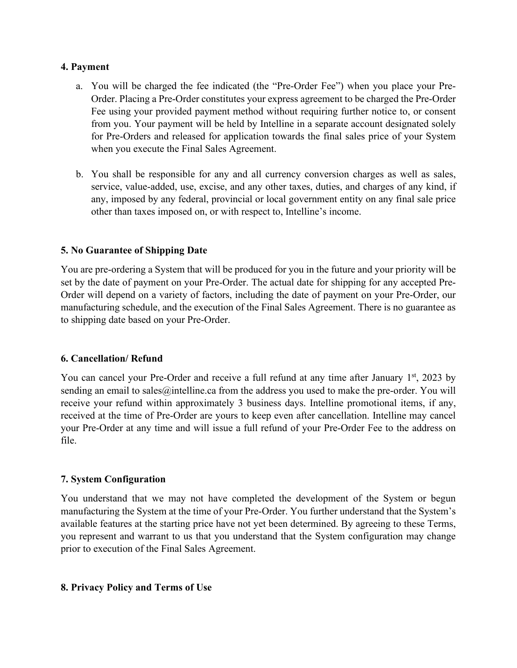### **4. Payment**

- a. You will be charged the fee indicated (the "Pre-Order Fee") when you place your Pre-Order. Placing a Pre-Order constitutes your express agreement to be charged the Pre-Order Fee using your provided payment method without requiring further notice to, or consent from you. Your payment will be held by Intelline in a separate account designated solely for Pre-Orders and released for application towards the final sales price of your System when you execute the Final Sales Agreement.
- b. You shall be responsible for any and all currency conversion charges as well as sales, service, value-added, use, excise, and any other taxes, duties, and charges of any kind, if any, imposed by any federal, provincial or local government entity on any final sale price other than taxes imposed on, or with respect to, Intelline's income.

### **5. No Guarantee of Shipping Date**

You are pre-ordering a System that will be produced for you in the future and your priority will be set by the date of payment on your Pre-Order. The actual date for shipping for any accepted Pre-Order will depend on a variety of factors, including the date of payment on your Pre-Order, our manufacturing schedule, and the execution of the Final Sales Agreement. There is no guarantee as to shipping date based on your Pre-Order.

### **6. Cancellation/ Refund**

You can cancel your Pre-Order and receive a full refund at any time after January 1<sup>st</sup>, 2023 by sending an email to sales  $\omega$  intelline.ca from the address you used to make the pre-order. You will receive your refund within approximately 3 business days. Intelline promotional items, if any, received at the time of Pre-Order are yours to keep even after cancellation. Intelline may cancel your Pre-Order at any time and will issue a full refund of your Pre-Order Fee to the address on file.

### **7. System Configuration**

You understand that we may not have completed the development of the System or begun manufacturing the System at the time of your Pre-Order. You further understand that the System's available features at the starting price have not yet been determined. By agreeing to these Terms, you represent and warrant to us that you understand that the System configuration may change prior to execution of the Final Sales Agreement.

#### **8. Privacy Policy and Terms of Use**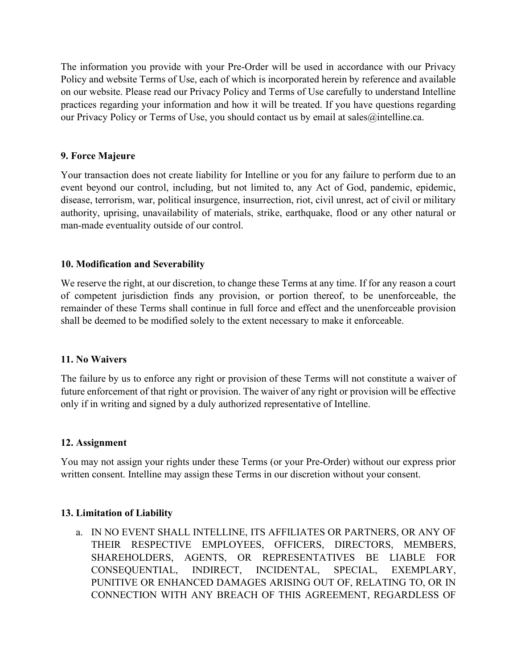The information you provide with your Pre-Order will be used in accordance with our Privacy Policy and website Terms of Use, each of which is incorporated herein by reference and available on our website. Please read our Privacy Policy and Terms of Use carefully to understand Intelline practices regarding your information and how it will be treated. If you have questions regarding our Privacy Policy or Terms of Use, you should contact us by email at sales@intelline.ca.

## **9. Force Majeure**

Your transaction does not create liability for Intelline or you for any failure to perform due to an event beyond our control, including, but not limited to, any Act of God, pandemic, epidemic, disease, terrorism, war, political insurgence, insurrection, riot, civil unrest, act of civil or military authority, uprising, unavailability of materials, strike, earthquake, flood or any other natural or man-made eventuality outside of our control.

### **10. Modification and Severability**

We reserve the right, at our discretion, to change these Terms at any time. If for any reason a court of competent jurisdiction finds any provision, or portion thereof, to be unenforceable, the remainder of these Terms shall continue in full force and effect and the unenforceable provision shall be deemed to be modified solely to the extent necessary to make it enforceable.

### **11. No Waivers**

The failure by us to enforce any right or provision of these Terms will not constitute a waiver of future enforcement of that right or provision. The waiver of any right or provision will be effective only if in writing and signed by a duly authorized representative of Intelline.

### **12. Assignment**

You may not assign your rights under these Terms (or your Pre-Order) without our express prior written consent. Intelline may assign these Terms in our discretion without your consent.

### **13. Limitation of Liability**

a. IN NO EVENT SHALL INTELLINE, ITS AFFILIATES OR PARTNERS, OR ANY OF THEIR RESPECTIVE EMPLOYEES, OFFICERS, DIRECTORS, MEMBERS, SHAREHOLDERS, AGENTS, OR REPRESENTATIVES BE LIABLE FOR CONSEQUENTIAL, INDIRECT, INCIDENTAL, SPECIAL, EXEMPLARY, PUNITIVE OR ENHANCED DAMAGES ARISING OUT OF, RELATING TO, OR IN CONNECTION WITH ANY BREACH OF THIS AGREEMENT, REGARDLESS OF